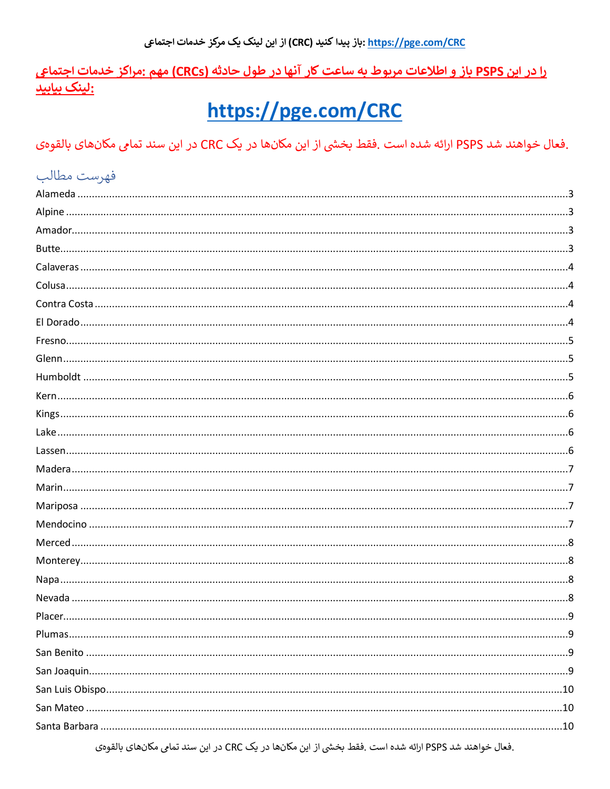<u>را در این PSPS باز و اطلاعات مربوط به ساعت کار آنها در طول حادثه (CRCs) مهم :مراکز خدمات اجتماعی</u> :لینک بیابید

# https://pge.com/CRC

.فعال خواهند شد PSPS ارائه شده است .فقط بخشي از اين مكانها در يك CRC در اين سند تمامي مكانهاي بالقوهي

| فهرست مطالب                                                                                             |   |
|---------------------------------------------------------------------------------------------------------|---|
|                                                                                                         |   |
|                                                                                                         |   |
|                                                                                                         |   |
|                                                                                                         |   |
|                                                                                                         |   |
|                                                                                                         |   |
|                                                                                                         |   |
|                                                                                                         |   |
|                                                                                                         |   |
|                                                                                                         |   |
|                                                                                                         |   |
|                                                                                                         |   |
|                                                                                                         |   |
|                                                                                                         |   |
|                                                                                                         |   |
|                                                                                                         |   |
|                                                                                                         |   |
|                                                                                                         |   |
|                                                                                                         |   |
|                                                                                                         |   |
|                                                                                                         |   |
|                                                                                                         |   |
|                                                                                                         |   |
| Placer.                                                                                                 | q |
|                                                                                                         |   |
|                                                                                                         |   |
|                                                                                                         |   |
|                                                                                                         |   |
|                                                                                                         |   |
|                                                                                                         |   |
| ِ فعال خواهند شد PSPS ارائه شده است ِ فقط بخشی از این مکانها در یک CRC در این سند تمام، مکانهای بالقوهی |   |

ی ار این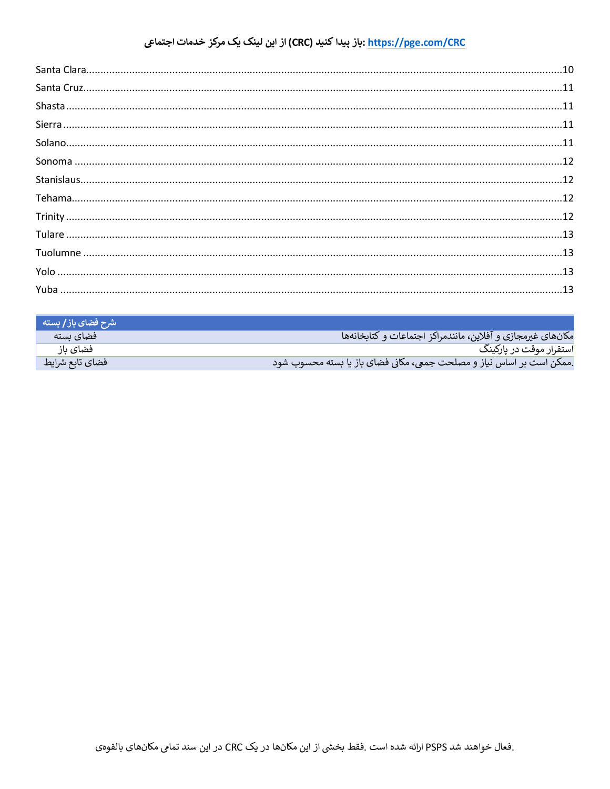#### <u>https://pge.com/CRC</u> :باز پیدا کنید (CRC) از این لینک یک مرکز خدمات اجتماعی

| شرح فضای باز / بسته |                                                                       |
|---------------------|-----------------------------------------------------------------------|
| فضای ىستە           | مكان هاى غيرمجازي و آفلاين، مانندمراكز اجتماعات و كتابخانهها          |
| فضاي باز            | استقرار موقت در پارکینگ                                               |
| فضاي تابع شرايط     | .ممکن است بر اساس نیاز و مصلحت جمعی، مکانی فضای باز یا بسته محسوب شود |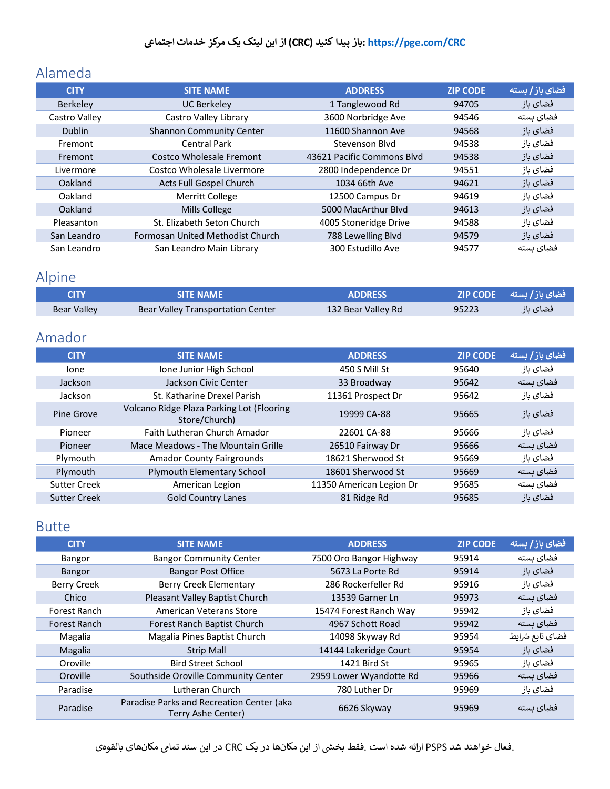### <span id="page-2-0"></span>Alameda

| <b>CITY</b>     | <b>SITE NAME</b>                 | <b>ADDRESS</b>             | <b>ZIP CODE</b> | فضای باز / بسته |
|-----------------|----------------------------------|----------------------------|-----------------|-----------------|
| <b>Berkeley</b> | <b>UC Berkeley</b>               | 1 Tanglewood Rd            | 94705           | فضاى باز        |
| Castro Valley   | Castro Valley Library            | 3600 Norbridge Ave         | 94546           | فضای ىستە       |
| <b>Dublin</b>   | <b>Shannon Community Center</b>  | 11600 Shannon Ave          | 94568           | فضای باز        |
| Fremont         | <b>Central Park</b>              | Stevenson Blyd             | 94538           | فضاى باز        |
| Fremont         | Costco Wholesale Fremont         | 43621 Pacific Commons Blyd | 94538           | فضای باز        |
| Livermore       | Costco Wholesale Livermore       | 2800 Independence Dr       | 94551           | فضاى باز        |
| Oakland         | Acts Full Gospel Church          | 1034 66th Ave              | 94621           | فضای باز        |
| Oakland         | <b>Merritt College</b>           | 12500 Campus Dr            | 94619           | فضاى باز        |
| Oakland         | <b>Mills College</b>             | 5000 MacArthur Blyd        | 94613           | فضای باز        |
| Pleasanton      | St. Elizabeth Seton Church       | 4005 Stoneridge Drive      | 94588           | فضاى باز        |
| San Leandro     | Formosan United Methodist Church | 788 Lewelling Blvd         | 94579           | فضای باز        |
| San Leandro     | San Leandro Main Library         | 300 Estudillo Ave          | 94577           | فضاى بسته       |

# <span id="page-2-1"></span>Alpine

| <b>CITY</b>        | SITF NAMF                         | ADDRESS            |       | فضای باز/بسته __ZIP CODE |
|--------------------|-----------------------------------|--------------------|-------|--------------------------|
| <b>Bear Valley</b> | Bear Valley Transportation Center | 132 Bear Valley Rd | 95223 | فضای باز                 |

## <span id="page-2-2"></span>Amador

| <b>CITY</b>         | <b>SITE NAME</b>                                           | <b>ADDRESS</b>           | <b>ZIP CODE</b> | فضای باز / بسته |
|---------------------|------------------------------------------------------------|--------------------------|-----------------|-----------------|
| lone                | Ione Junior High School                                    | 450 S Mill St            | 95640           | فضاى باز        |
| Jackson             | Jackson Civic Center                                       | 33 Broadway              | 95642           | فضای بسته       |
| Jackson             | St. Katharine Drexel Parish                                | 11361 Prospect Dr        | 95642           | فضاى باز        |
| Pine Grove          | Volcano Ridge Plaza Parking Lot (Flooring<br>Store/Church) | 19999 CA-88              | 95665           | فضای باز        |
| Pioneer             | Faith Lutheran Church Amador                               | 22601 CA-88              | 95666           | فضاى باز        |
| Pioneer             | Mace Meadows - The Mountain Grille                         | 26510 Fairway Dr         | 95666           | فضای ىستە       |
| Plymouth            | <b>Amador County Fairgrounds</b>                           | 18621 Sherwood St        | 95669           | فضاى باز        |
| Plymouth            | Plymouth Elementary School                                 | 18601 Sherwood St        | 95669           | فضای ىستە       |
| <b>Sutter Creek</b> | American Legion                                            | 11350 American Legion Dr | 95685           | فضای بسته       |
| <b>Sutter Creek</b> | <b>Gold Country Lanes</b>                                  | 81 Ridge Rd              | 95685           | فضاى باز        |

#### <span id="page-2-3"></span>Butte

| <b>CITY</b>         | <b>SITE NAME</b>                                                | <b>ADDRESS</b>          | <b>ZIP CODE</b> | فضای باز / بسته |
|---------------------|-----------------------------------------------------------------|-------------------------|-----------------|-----------------|
| Bangor              | <b>Bangor Community Center</b>                                  | 7500 Oro Bangor Highway | 95914           | فضای ىستە       |
| Bangor              | <b>Bangor Post Office</b>                                       | 5673 La Porte Rd        | 95914           | فضای باز        |
| <b>Berry Creek</b>  | Berry Creek Elementary                                          | 286 Rockerfeller Rd     | 95916           | فضاى باز        |
| Chico               | Pleasant Valley Baptist Church                                  | 13539 Garner Ln         | 95973           | فضای ىستە       |
| Forest Ranch        | American Veterans Store                                         | 15474 Forest Ranch Way  | 95942           | فضاى باز        |
| <b>Forest Ranch</b> | Forest Ranch Baptist Church                                     | 4967 Schott Road        | 95942           | فضای بسته       |
| Magalia             | Magalia Pines Baptist Church                                    | 14098 Skyway Rd         | 95954           | فضاي تابع شرايط |
| Magalia             | <b>Strip Mall</b>                                               | 14144 Lakeridge Court   | 95954           | فضاى باز        |
| Oroville            | <b>Bird Street School</b>                                       | 1421 Bird St            | 95965           | فضاى باز        |
| Oroville            | Southside Oroville Community Center                             | 2959 Lower Wyandotte Rd | 95966           | فضای بسته       |
| Paradise            | Lutheran Church                                                 | 780 Luther Dr           | 95969           | فضاى باز        |
| Paradise            | Paradise Parks and Recreation Center (aka<br>Terry Ashe Center) | 6626 Skyway             | 95969           | فضای بسته       |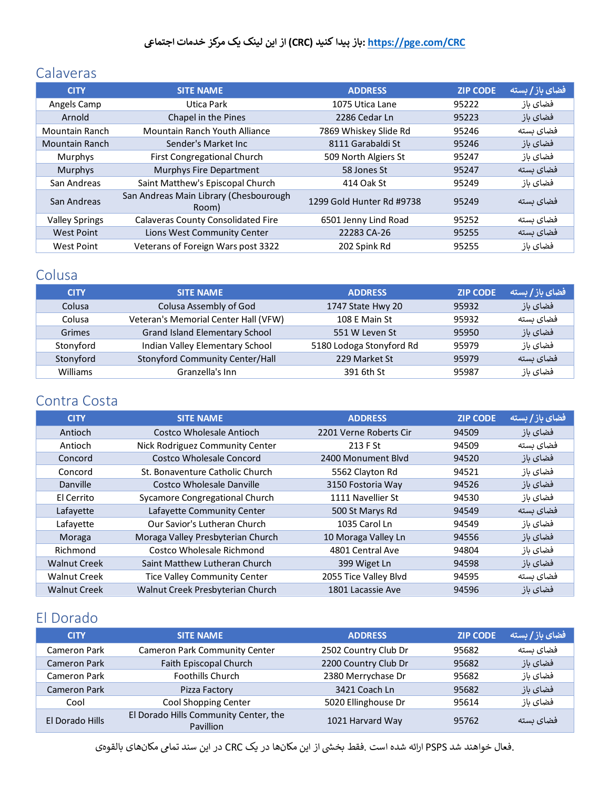### <span id="page-3-0"></span>Calaveras

| <b>CITY</b>           | <b>SITE NAME</b>                                | <b>ADDRESS</b>            | <b>ZIP CODE</b> | فضای باز / بسته |
|-----------------------|-------------------------------------------------|---------------------------|-----------------|-----------------|
| Angels Camp           | Utica Park                                      | 1075 Utica Lane           | 95222           | فضاى باز        |
| Arnold                | Chapel in the Pines                             | 2286 Cedar Ln             | 95223           | فضای باز        |
| Mountain Ranch        | Mountain Ranch Youth Alliance                   | 7869 Whiskey Slide Rd     | 95246           | فضای ىستە       |
| <b>Mountain Ranch</b> | Sender's Market Inc.                            | 8111 Garabaldi St         | 95246           | فضای باز        |
| Murphys               | First Congregational Church                     | 509 North Algiers St      | 95247           | فضاى باز        |
| <b>Murphys</b>        | Murphys Fire Department                         | 58 Jones St               | 95247           | فضاى بسته       |
| San Andreas           | Saint Matthew's Episcopal Church                | 414 Oak St                | 95249           | فضاى باز        |
| San Andreas           | San Andreas Main Library (Chesbourough<br>Room) | 1299 Gold Hunter Rd #9738 | 95249           | فضای ىستە       |
| <b>Valley Springs</b> | <b>Calaveras County Consolidated Fire</b>       | 6501 Jenny Lind Road      | 95252           | فضای بسته       |
| <b>West Point</b>     | Lions West Community Center                     | 22283 CA-26               | 95255           | فضای ىستە       |
| <b>West Point</b>     | Veterans of Foreign Wars post 3322              | 202 Spink Rd              | 95255           | فضای باز        |

### <span id="page-3-1"></span>Colusa

| <b>CITY</b>   | <b>SITE NAME</b>                     | <b>ADDRESS</b>           | <b>ZIP CODE</b> | <b>/ فضای باز/ بسته</b> |
|---------------|--------------------------------------|--------------------------|-----------------|-------------------------|
| Colusa        | Colusa Assembly of God               | 1747 State Hwy 20        | 95932           | فضای باز                |
| Colusa        | Veteran's Memorial Center Hall (VFW) | 108 E Main St            | 95932           | فضای ىستە               |
| <b>Grimes</b> | Grand Island Elementary School       | 551 W Leven St           | 95950           | فضای باز                |
| Stonyford     | Indian Valley Elementary School      | 5180 Lodoga Stonyford Rd | 95979           | فضای باز                |
| Stonyford     | Stonyford Community Center/Hall      | 229 Market St            | 95979           | فضای ىستە               |
| Williams      | Granzella's Inn                      | 391 6th St               | 95987           | فضاى باز                |

#### <span id="page-3-2"></span>Contra Costa

| <b>CITY</b>         | <b>SITE NAME</b>                    | <b>ADDRESS</b>         | <b>ZIP CODE</b> | فضای باز / بسته |
|---------------------|-------------------------------------|------------------------|-----------------|-----------------|
| Antioch             | Costco Wholesale Antioch            | 2201 Verne Roberts Cir | 94509           | فضاى باز        |
| Antioch             | Nick Rodriguez Community Center     | 213 F St               | 94509           | فضاى بسته       |
| Concord             | Costco Wholesale Concord            | 2400 Monument Blyd     | 94520           | فضای باز        |
| Concord             | St. Bonaventure Catholic Church     | 5562 Clayton Rd        | 94521           | فضاى باز        |
| Danville            | Costco Wholesale Danville           | 3150 Fostoria Way      | 94526           | فضای باز        |
| El Cerrito          | Sycamore Congregational Church      | 1111 Navellier St      | 94530           | فضاى باز        |
| Lafayette           | Lafayette Community Center          | 500 St Marys Rd        | 94549           | فضای بسته       |
| Lafavette           | Our Savior's Lutheran Church        | 1035 Carol Ln          | 94549           | فضاى باز        |
| Moraga              | Moraga Valley Presbyterian Church   | 10 Moraga Valley Ln    | 94556           | فضای باز        |
| Richmond            | Costco Wholesale Richmond           | 4801 Central Ave       | 94804           | فضاى باز        |
| <b>Walnut Creek</b> | Saint Matthew Lutheran Church       | 399 Wiget Ln           | 94598           | فضای باز        |
| <b>Walnut Creek</b> | <b>Tice Valley Community Center</b> | 2055 Tice Valley Blvd  | 94595           | فضای بسته       |
| <b>Walnut Creek</b> | Walnut Creek Presbyterian Church    | 1801 Lacassie Ave      | 94596           | فضاى باز        |

# <span id="page-3-3"></span>El Dorado

| <b>CITY</b>         | <b>SITE NAME</b>                                   | <b>ADDRESS</b>       | <b>ZIP CODE</b> | ، فضای باز / بسته |
|---------------------|----------------------------------------------------|----------------------|-----------------|-------------------|
| Cameron Park        | <b>Cameron Park Community Center</b>               | 2502 Country Club Dr | 95682           | فضای بسته         |
| <b>Cameron Park</b> | Faith Episcopal Church                             | 2200 Country Club Dr | 95682           | فضای باز          |
| Cameron Park        | <b>Foothills Church</b>                            | 2380 Merrychase Dr   | 95682           | فضاي باز          |
| <b>Cameron Park</b> | Pizza Factory                                      | 3421 Coach Ln        | 95682           | فضاي باز          |
| Cool                | Cool Shopping Center                               | 5020 Ellinghouse Dr  | 95614           | فضاي باز          |
| El Dorado Hills     | El Dorado Hills Community Center, the<br>Pavillion | 1021 Harvard Way     | 95762           | فضای بسته         |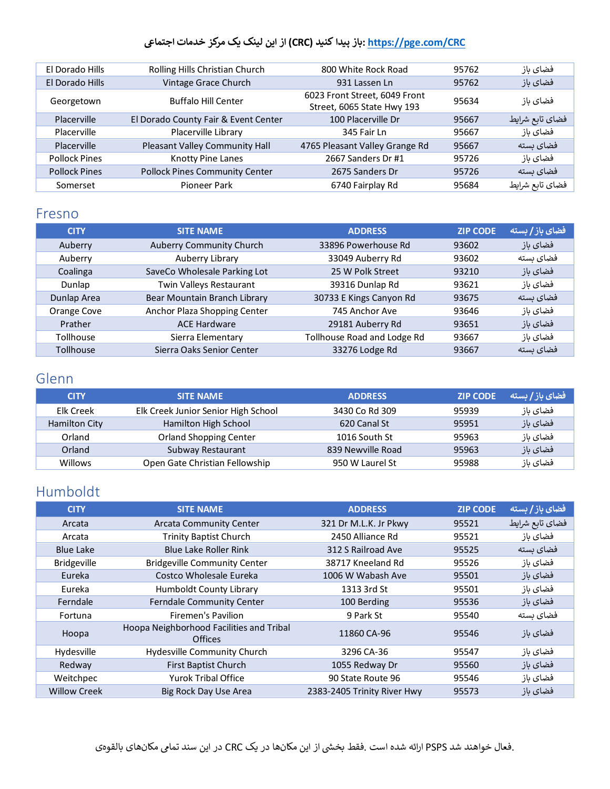| Rolling Hills Christian Church        | 800 White Rock Road                                         | 95762 | فضاى باز        |
|---------------------------------------|-------------------------------------------------------------|-------|-----------------|
| Vintage Grace Church                  | 931 Lassen Ln                                               | 95762 | فضای باز        |
| <b>Buffalo Hill Center</b>            | 6023 Front Street, 6049 Front<br>Street, 6065 State Hwy 193 | 95634 | فضاى باز        |
| El Dorado County Fair & Event Center  | 100 Placerville Dr                                          | 95667 | فضاي تابع شرايط |
| Placerville Library                   | 345 Fair Ln                                                 | 95667 | فضاى باز        |
| Pleasant Valley Community Hall        | 4765 Pleasant Valley Grange Rd                              | 95667 | فضای بسته       |
| <b>Knotty Pine Lanes</b>              | 2667 Sanders Dr #1                                          | 95726 | فضاي باز        |
| <b>Pollock Pines Community Center</b> | 2675 Sanders Dr                                             | 95726 | فضای بسته       |
| Pioneer Park                          | 6740 Fairplay Rd                                            | 95684 | فضاي تابع شرايط |
|                                       |                                                             |       |                 |

#### <span id="page-4-0"></span>Fresno

| <b>CITY</b>      | <b>SITE NAME</b>             | <b>ADDRESS</b>              | <b>ZIP CODE</b> | فضای باز / بسته |
|------------------|------------------------------|-----------------------------|-----------------|-----------------|
| Auberry          | Auberry Community Church     | 33896 Powerhouse Rd         | 93602           | فضای باز        |
| Auberry          | Auberry Library              | 33049 Auberry Rd            | 93602           | فضای بسته       |
| Coalinga         | SaveCo Wholesale Parking Lot | 25 W Polk Street            | 93210           | فضای باز        |
| Dunlap           | Twin Valleys Restaurant      | 39316 Dunlap Rd             | 93621           | فضاى باز        |
| Dunlap Area      | Bear Mountain Branch Library | 30733 E Kings Canyon Rd     | 93675           | فضای بسته       |
| Orange Cove      | Anchor Plaza Shopping Center | 745 Anchor Ave              | 93646           | فضاى باز        |
| Prather          | <b>ACE Hardware</b>          | 29181 Auberry Rd            | 93651           | فضای باز        |
| Tollhouse        | Sierra Elementary            | Tollhouse Road and Lodge Rd | 93667           | فضاى باز        |
| <b>Tollhouse</b> | Sierra Oaks Senior Center    | 33276 Lodge Rd              | 93667           | فضای بسته       |

#### <span id="page-4-1"></span>Glenn

| <b>CITY</b>    | <b>SITE NAME</b>                    | <b>ADDRESS</b>    | <b>ZIP CODE</b> | فضای باز / بسته |
|----------------|-------------------------------------|-------------------|-----------------|-----------------|
| Elk Creek      | Elk Creek Junior Senior High School | 3430 Co Rd 309    | 95939           | فضاى باز        |
| Hamilton City  | Hamilton High School                | 620 Canal St      | 95951           | فضای باز        |
| Orland         | <b>Orland Shopping Center</b>       | 1016 South St     | 95963           | فضای باز        |
| Orland         | Subway Restaurant                   | 839 Newville Road | 95963           | فضاى باز        |
| <b>Willows</b> | Open Gate Christian Fellowship      | 950 W Laurel St   | 95988           | فضاى باز        |

### <span id="page-4-2"></span>Humboldt

| <b>CITY</b>         | <b>SITE NAME</b>                                           | <b>ADDRESS</b>              | <b>ZIP CODE</b> | فضای باز / بسته |
|---------------------|------------------------------------------------------------|-----------------------------|-----------------|-----------------|
| Arcata              | <b>Arcata Community Center</b>                             | 321 Dr M.L.K. Jr Pkwy       | 95521           | فضاي تابع شرايط |
| Arcata              | <b>Trinity Baptist Church</b>                              | 2450 Alliance Rd            | 95521           | فضاى باز        |
| <b>Blue Lake</b>    | <b>Blue Lake Roller Rink</b>                               | 312 S Railroad Ave          | 95525           | فضای بسته       |
| <b>Bridgeville</b>  | <b>Bridgeville Community Center</b>                        | 38717 Kneeland Rd           | 95526           | فضاى باز        |
| Eureka              | Costco Wholesale Eureka                                    | 1006 W Wabash Ave           | 95501           | فضاى باز        |
| Eureka              | <b>Humboldt County Library</b>                             | 1313 3rd St                 | 95501           | فضاى باز        |
| Ferndale            | <b>Ferndale Community Center</b>                           | 100 Berding                 | 95536           | فضای باز        |
| Fortuna             | Firemen's Pavilion                                         | 9 Park St                   | 95540           | فضای ىستە       |
| Hoopa               | Hoopa Neighborhood Facilities and Tribal<br><b>Offices</b> | 11860 CA-96                 | 95546           | فضای باز        |
| Hydesville          | Hydesville Community Church                                | 3296 CA-36                  | 95547           | فضاى باز        |
| Redway              | First Baptist Church                                       | 1055 Redway Dr              | 95560           | فضای باز        |
| Weitchpec           | <b>Yurok Tribal Office</b>                                 | 90 State Route 96           | 95546           | فضاى باز        |
| <b>Willow Creek</b> | Big Rock Day Use Area                                      | 2383-2405 Trinity River Hwy | 95573           | فضای باز        |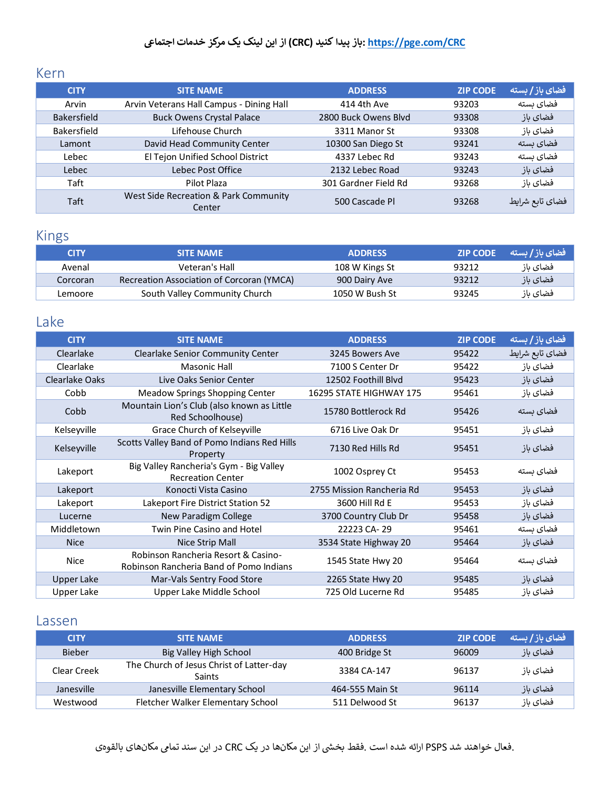#### <span id="page-5-0"></span>Kern

| <b>CITY</b>        | <b>SITE NAME</b>                                | <b>ADDRESS</b>       | <b>ZIP CODE</b> | فضای باز / بسته |
|--------------------|-------------------------------------------------|----------------------|-----------------|-----------------|
| Arvin              | Arvin Veterans Hall Campus - Dining Hall        | 414 4th Ave          | 93203           | فضای ىستە       |
| <b>Bakersfield</b> | <b>Buck Owens Crystal Palace</b>                | 2800 Buck Owens Blyd | 93308           | فضای باز        |
| Bakersfield        | Lifehouse Church                                | 3311 Manor St        | 93308           | فضاى باز        |
| Lamont             | David Head Community Center                     | 10300 San Diego St   | 93241           | فضای بسته       |
| Lebec              | El Tejon Unified School District                | 4337 Lebec Rd        | 93243           | فضای ىستە       |
| Lebec              | Lebec Post Office                               | 2132 Lebec Road      | 93243           | فضای باز        |
| Taft               | Pilot Plaza                                     | 301 Gardner Field Rd | 93268           | فضاي باز        |
| Taft               | West Side Recreation & Park Community<br>Center | 500 Cascade Pl       | 93268           | فضاى تابع شرايط |

#### <span id="page-5-1"></span>Kings

| <b>CITY</b> | <b>SITE NAME</b>                          | <b>ADDRESS</b> | <b>EXP CODE</b> | ِ فضای باز / بسته |
|-------------|-------------------------------------------|----------------|-----------------|-------------------|
| Avenal      | Veteran's Hall                            | 108 W Kings St | 93212           | فضاي باز          |
| Corcoran    | Recreation Association of Corcoran (YMCA) | 900 Dairy Ave  | 93212           | فضاي باز          |
| Lemoore     | South Valley Community Church             | 1050 W Bush St | 93245           | فضاي باز          |

### <span id="page-5-2"></span>Lake

| <b>CITY</b>           | <b>SITE NAME</b>                                                               | <b>ADDRESS</b>            | <b>ZIP CODE</b> | فضای باز / بسته |
|-----------------------|--------------------------------------------------------------------------------|---------------------------|-----------------|-----------------|
| Clearlake             | <b>Clearlake Senior Community Center</b>                                       | 3245 Bowers Ave           | 95422           | فضاي تابع شرايط |
| Clearlake             | Masonic Hall                                                                   | 7100 S Center Dr          | 95422           | فضاى باز        |
| <b>Clearlake Oaks</b> | Live Oaks Senior Center                                                        | 12502 Foothill Blvd       | 95423           | فضاى باز        |
| Cobb                  | Meadow Springs Shopping Center                                                 | 16295 STATE HIGHWAY 175   | 95461           | فضاى باز        |
| Cobb                  | Mountain Lion's Club (also known as Little<br>Red Schoolhouse)                 | 15780 Bottlerock Rd       | 95426           | فضای بسته       |
| Kelseyville           | Grace Church of Kelseyville                                                    | 6716 Live Oak Dr          | 95451           | فضاى باز        |
| Kelseyville           | Scotts Valley Band of Pomo Indians Red Hills<br>Property                       | 7130 Red Hills Rd         | 95451           | فضاى باز        |
| Lakeport              | Big Valley Rancheria's Gym - Big Valley<br><b>Recreation Center</b>            | 1002 Osprey Ct            | 95453           | فضای بسته       |
| Lakeport              | Konocti Vista Casino                                                           | 2755 Mission Rancheria Rd | 95453           | فضاى باز        |
| Lakeport              | Lakeport Fire District Station 52                                              | 3600 Hill Rd E            | 95453           | فضاى باز        |
| Lucerne               | <b>New Paradigm College</b>                                                    | 3700 Country Club Dr      | 95458           | فضاى باز        |
| Middletown            | Twin Pine Casino and Hotel                                                     | 22223 CA-29               | 95461           | فضاى بسته       |
| <b>Nice</b>           | Nice Strip Mall                                                                | 3534 State Highway 20     | 95464           | فضاى باز        |
| <b>Nice</b>           | Robinson Rancheria Resort & Casino-<br>Robinson Rancheria Band of Pomo Indians | 1545 State Hwy 20         | 95464           | فضاى بسته       |
| Upper Lake            | Mar-Vals Sentry Food Store                                                     | 2265 State Hwy 20         | 95485           | فضاى باز        |
| <b>Upper Lake</b>     | Upper Lake Middle School                                                       | 725 Old Lucerne Rd        | 95485           | فضاى باز        |

#### <span id="page-5-3"></span>Lassen

| <b>CITY</b>   | <b>SITE NAME</b>                                          | <b>ADDRESS</b>  | <b>ZIP CODE</b> | <b>/ فضای باز/بسته</b> |
|---------------|-----------------------------------------------------------|-----------------|-----------------|------------------------|
| <b>Bieber</b> | Big Valley High School                                    | 400 Bridge St   | 96009           | فضای باز               |
| Clear Creek   | The Church of Jesus Christ of Latter-day<br><b>Saints</b> | 3384 CA-147     | 96137           | فضای باز               |
| Janesville    | Janesville Elementary School                              | 464-555 Main St | 96114           | فضای باز               |
| Westwood      | Fletcher Walker Elementary School                         | 511 Delwood St  | 96137           | فضاي باز               |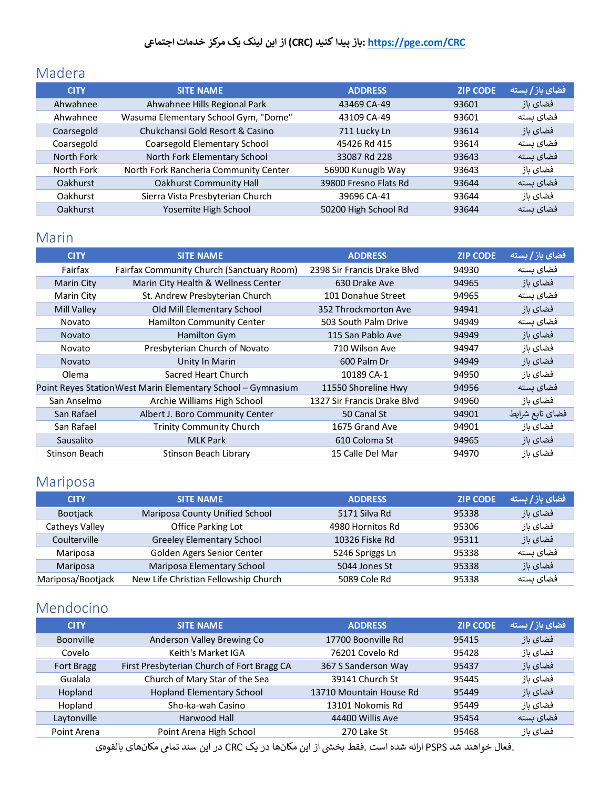### <span id="page-6-0"></span>Madera

| <b>CITY</b>     | <b>SITE NAME</b>                      | <b>ADDRESS</b>        | <b>ZIP CODE</b> | فضای باز / بسته |
|-----------------|---------------------------------------|-----------------------|-----------------|-----------------|
| Ahwahnee        | Ahwahnee Hills Regional Park          | 43469 CA-49           | 93601           | فضای باز        |
| Ahwahnee        | Wasuma Elementary School Gym, "Dome"  | 43109 CA-49           | 93601           | فضای ىستە       |
| Coarsegold      | Chukchansi Gold Resort & Casino       | 711 Lucky Ln          | 93614           | فضای باز        |
| Coarsegold      | Coarsegold Elementary School          | 45426 Rd 415          | 93614           | فضای ىستە       |
| North Fork      | North Fork Elementary School          | 33087 Rd 228          | 93643           | فضای ىستە       |
| North Fork      | North Fork Rancheria Community Center | 56900 Kunugib Way     | 93643           | فضاى باز        |
| Oakhurst        | <b>Oakhurst Community Hall</b>        | 39800 Fresno Flats Rd | 93644           | فضای بسته       |
| Oakhurst        | Sierra Vista Presbyterian Church      | 39696 CA-41           | 93644           | فضاي باز        |
| <b>Oakhurst</b> | Yosemite High School                  | 50200 High School Rd  | 93644           | فضای ىستە       |

#### <span id="page-6-1"></span>Marin

| <b>CITY</b>   | <b>SITE NAME</b>                                             | <b>ADDRESS</b>              | <b>ZIP CODE</b> | فضای باز / بسته |
|---------------|--------------------------------------------------------------|-----------------------------|-----------------|-----------------|
| Fairfax       | Fairfax Community Church (Sanctuary Room)                    | 2398 Sir Francis Drake Blvd | 94930           | فضاى بسته       |
| Marin City    | Marin City Health & Wellness Center                          | 630 Drake Ave               | 94965           | فضاى باز        |
| Marin City    | St. Andrew Presbyterian Church                               | 101 Donahue Street          | 94965           | فضاى بسته       |
| Mill Valley   | Old Mill Elementary School                                   | 352 Throckmorton Ave        | 94941           | فضاى باز        |
| Novato        | <b>Hamilton Community Center</b>                             | 503 South Palm Drive        | 94949           | فضاى بسته       |
| <b>Novato</b> | Hamilton Gym                                                 | 115 San Pablo Ave           | 94949           | فضاى باز        |
| Novato        | Presbyterian Church of Novato                                | 710 Wilson Ave              | 94947           | فضاى باز        |
| <b>Novato</b> | Unity In Marin                                               | 600 Palm Dr                 | 94949           | فضاى باز        |
| Olema         | Sacred Heart Church                                          | 10189 CA-1                  | 94950           | فضاى باز        |
|               | Point Reyes Station West Marin Elementary School - Gymnasium | 11550 Shoreline Hwy         | 94956           | فضاى بسته       |
| San Anselmo   | Archie Williams High School                                  | 1327 Sir Francis Drake Blyd | 94960           | فضاى باز        |
| San Rafael    | Albert J. Boro Community Center                              | 50 Canal St                 | 94901           | فضاي تابع شرايط |
| San Rafael    | <b>Trinity Community Church</b>                              | 1675 Grand Ave              | 94901           | فضاى باز        |
| Sausalito     | <b>MLK Park</b>                                              | 610 Coloma St               | 94965           | فضای باز        |
| Stinson Beach | Stinson Beach Library                                        | 15 Calle Del Mar            | 94970           | فضاى باز        |

# <span id="page-6-2"></span>Mariposa

| <b>CITY</b>       | <b>SITE NAME</b>                     | <b>ADDRESS</b>   | <b>ZIP CODE</b> | فضای باز / بسته |
|-------------------|--------------------------------------|------------------|-----------------|-----------------|
| <b>Bootjack</b>   | Mariposa County Unified School       | 5171 Silva Rd    | 95338           | فضای باز        |
| Catheys Valley    | Office Parking Lot                   | 4980 Hornitos Rd | 95306           | فضاي باز        |
| Coulterville      | <b>Greeley Elementary School</b>     | 10326 Fiske Rd   | 95311           | فضاي باز        |
| Mariposa          | Golden Agers Senior Center           | 5246 Spriggs Ln  | 95338           | فضای ىستە       |
| Mariposa          | Mariposa Elementary School           | 5044 Jones St    | 95338           | فضای باز        |
| Mariposa/Bootjack | New Life Christian Fellowship Church | 5089 Cole Rd     | 95338           | فضای بسته       |

### <span id="page-6-3"></span>Mendocino

| <b>CITY</b>       | <b>SITE NAME</b>                           | <b>ADDRESS</b>          | <b>ZIP CODE</b> | فضای باز / بسته |
|-------------------|--------------------------------------------|-------------------------|-----------------|-----------------|
| <b>Boonville</b>  | Anderson Valley Brewing Co                 | 17700 Boonville Rd      | 95415           | فضاي باز        |
| Covelo            | Keith's Market IGA                         | 76201 Covelo Rd         | 95428           | فضاي باز        |
| <b>Fort Bragg</b> | First Presbyterian Church of Fort Bragg CA | 367 S Sanderson Way     | 95437           | فضاي باز        |
| Gualala           | Church of Mary Star of the Sea             | 39141 Church St         | 95445           | فضاى باز        |
| Hopland           | <b>Hopland Elementary School</b>           | 13710 Mountain House Rd | 95449           | فضای باز        |
| Hopland           | Sho-ka-wah Casino                          | 13101 Nokomis Rd        | 95449           | فضاي باز        |
| Laytonville       | Harwood Hall                               | 44400 Willis Ave        | 95454           | فضای ىستە       |
| Point Arena       | Point Arena High School                    | 270 Lake St             | 95468           | فضاى باز        |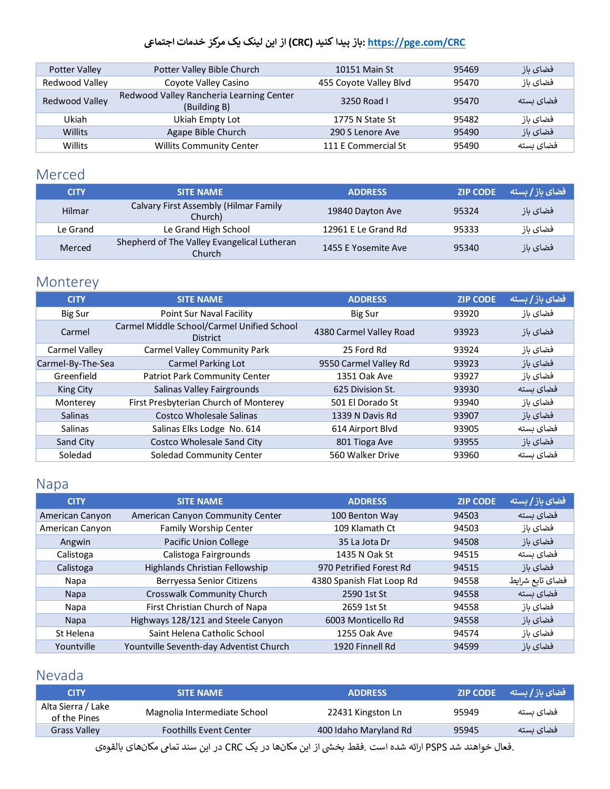| Potter Valley  | Potter Valley Bible Church                               | 10151 Main St          | 95469 | فضای باز  |
|----------------|----------------------------------------------------------|------------------------|-------|-----------|
| Redwood Valley | Coyote Valley Casino                                     | 455 Coyote Valley Blvd | 95470 | فضاي باز  |
| Redwood Valley | Redwood Valley Rancheria Learning Center<br>(Building B) | 3250 Road L            | 95470 | فضای ىستە |
| Ukiah          | Ukiah Empty Lot                                          | 1775 N State St        | 95482 | فضاي باز  |
| Willits        | Agape Bible Church                                       | 290 S Lenore Ave       | 95490 | فضاي باز  |
| Willits        | <b>Willits Community Center</b>                          | 111 E Commercial St    | 95490 | فضای بسته |

### <span id="page-7-0"></span>Merced

| <b>CITY</b> | <b>SITE NAME</b>                                      | <b>ADDRESS</b>      | <b>ZIP CODE</b> | فضای باز / بسته |
|-------------|-------------------------------------------------------|---------------------|-----------------|-----------------|
| Hilmar      | Calvary First Assembly (Hilmar Family<br>Church)      | 19840 Dayton Ave    | 95324           | فضای باز        |
| Le Grand    | Le Grand High School                                  | 12961 E Le Grand Rd | 95333           | فضاي باز        |
| Merced      | Shepherd of The Valley Evangelical Lutheran<br>Church | 1455 E Yosemite Ave | 95340           | فضای باز        |

# <span id="page-7-1"></span>Monterey

| <b>CITY</b>       | <b>SITE NAME</b>                                              | <b>ADDRESS</b>          | <b>ZIP CODE</b> | فضای باز / بسته |
|-------------------|---------------------------------------------------------------|-------------------------|-----------------|-----------------|
| Big Sur           | Point Sur Naval Facility                                      | <b>Big Sur</b>          | 93920           | فضاى باز        |
| Carmel            | Carmel Middle School/Carmel Unified School<br><b>District</b> | 4380 Carmel Valley Road | 93923           | فضای باز        |
| Carmel Valley     | Carmel Valley Community Park                                  | 25 Ford Rd              | 93924           | فضاي باز        |
| Carmel-By-The-Sea | <b>Carmel Parking Lot</b>                                     | 9550 Carmel Valley Rd   | 93923           | فضای باز        |
| Greenfield        | Patriot Park Community Center                                 | 1351 Oak Ave            | 93927           | فضاي باز        |
| <b>King City</b>  | Salinas Valley Fairgrounds                                    | 625 Division St.        | 93930           | فضای ىستە       |
| Monterey          | First Presbyterian Church of Monterey                         | 501 El Dorado St        | 93940           | فضاى باز        |
| <b>Salinas</b>    | Costco Wholesale Salinas                                      | 1339 N Davis Rd         | 93907           | فضای باز        |
| Salinas           | Salinas Elks Lodge No. 614                                    | 614 Airport Blvd        | 93905           | فضای بسته       |
| Sand City         | <b>Costco Wholesale Sand City</b>                             | 801 Tioga Ave           | 93955           | فضای باز        |
| Soledad           | Soledad Community Center                                      | 560 Walker Drive        | 93960           | فضای بسته       |

### <span id="page-7-2"></span>Napa

| <b>CITY</b>     | <b>SITE NAME</b>                        | <b>ADDRESS</b>            | <b>ZIP CODE</b> | فضای باز / بسته |
|-----------------|-----------------------------------------|---------------------------|-----------------|-----------------|
| American Canyon | American Canyon Community Center        | 100 Benton Way            | 94503           | فضای بسته       |
| American Canyon | Family Worship Center                   | 109 Klamath Ct            | 94503           | فضاى باز        |
| Angwin          | <b>Pacific Union College</b>            | 35 La Jota Dr             | 94508           | فضاي باز        |
| Calistoga       | Calistoga Fairgrounds                   | 1435 N Oak St             | 94515           | فضای بسته       |
| Calistoga       | Highlands Christian Fellowship          | 970 Petrified Forest Rd   | 94515           | فضاى باز        |
| Napa            | Berryessa Senior Citizens               | 4380 Spanish Flat Loop Rd | 94558           | فضاي تابع شرايط |
| <b>Napa</b>     | Crosswalk Community Church              | 2590 1st St               | 94558           | فضاى بسته       |
| Napa            | First Christian Church of Napa          | 2659 1st St               | 94558           | فضاى باز        |
| <b>Napa</b>     | Highways 128/121 and Steele Canyon      | 6003 Monticello Rd        | 94558           | فضاى باز        |
| St Helena       | Saint Helena Catholic School            | 1255 Oak Ave              | 94574           | فضاى باز        |
| Yountville      | Yountville Seventh-day Adventist Church | 1920 Finnell Rd           | 94599           | فضاى باز        |

### <span id="page-7-3"></span>Nevada

| <b>CITY</b>                        | <b>SITE NAME</b>              | <b>ADDRESS</b>        | <b>ZIP CODE</b> | - فضای باز / بسته |
|------------------------------------|-------------------------------|-----------------------|-----------------|-------------------|
| Alta Sierra / Lake<br>of the Pines | Magnolia Intermediate School  | 22431 Kingston Ln     | 95949           | فضای ىستە         |
| <b>Grass Valley</b>                | <b>Foothills Event Center</b> | 400 Idaho Maryland Rd | 95945           | فضای ىستە         |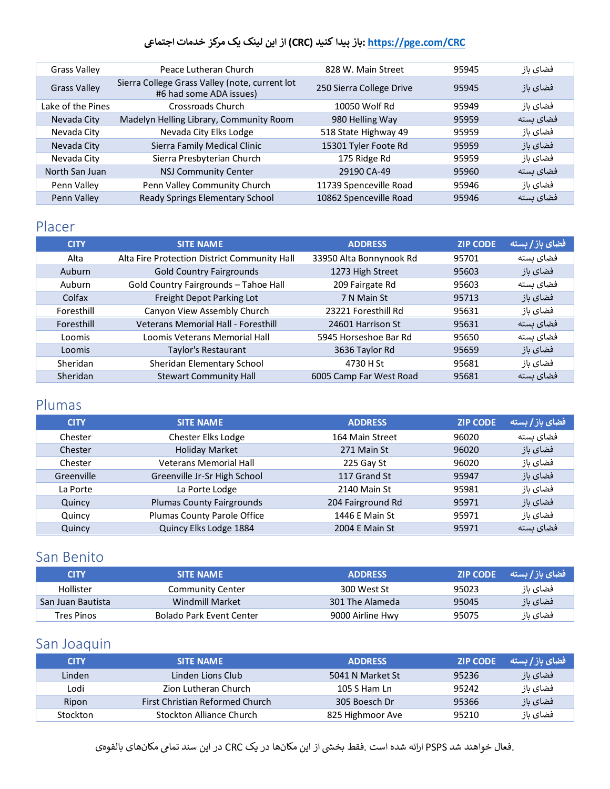| <b>Grass Valley</b> | Peace Lutheran Church                                                     | 828 W. Main Street       | 95945 | فضاى باز  |
|---------------------|---------------------------------------------------------------------------|--------------------------|-------|-----------|
| <b>Grass Valley</b> | Sierra College Grass Valley (note, current lot<br>#6 had some ADA issues) | 250 Sierra College Drive | 95945 | فضاي باز  |
| Lake of the Pines   | Crossroads Church                                                         | 10050 Wolf Rd            | 95949 | فضاي باز  |
| Nevada City         | Madelyn Helling Library, Community Room                                   | 980 Helling Way          | 95959 | فضای بسته |
| Nevada City         | Nevada City Elks Lodge                                                    | 518 State Highway 49     | 95959 | فضاى باز  |
| Nevada City         | Sierra Family Medical Clinic                                              | 15301 Tyler Foote Rd     | 95959 | فضای باز  |
| Nevada City         | Sierra Presbyterian Church                                                | 175 Ridge Rd             | 95959 | فضاي باز  |
| North San Juan      | <b>NSJ Community Center</b>                                               | 29190 CA-49              | 95960 | فضای بسته |
| Penn Valley         | Penn Valley Community Church                                              | 11739 Spenceville Road   | 95946 | فضاي باز  |
| Penn Valley         | Ready Springs Elementary School                                           | 10862 Spenceville Road   | 95946 | فضای ىستە |

### <span id="page-8-0"></span>Placer

| <b>CITY</b> | <b>SITE NAME</b>                             | <b>ADDRESS</b>          | <b>ZIP CODE</b> | فضای باز / بسته |
|-------------|----------------------------------------------|-------------------------|-----------------|-----------------|
| Alta        | Alta Fire Protection District Community Hall | 33950 Alta Bonnynook Rd | 95701           | فضای بسته       |
| Auburn      | <b>Gold Country Fairgrounds</b>              | 1273 High Street        | 95603           | فضای باز        |
| Auburn      | Gold Country Fairgrounds - Tahoe Hall        | 209 Fairgate Rd         | 95603           | فضای بسته       |
| Colfax      | Freight Depot Parking Lot                    | 7 N Main St             | 95713           | فضاى باز        |
| Foresthill  | Canyon View Assembly Church                  | 23221 Foresthill Rd     | 95631           | فضای باز        |
| Foresthill  | <b>Veterans Memorial Hall - Foresthill</b>   | 24601 Harrison St       | 95631           | فضای ىستە       |
| Loomis      | Loomis Veterans Memorial Hall                | 5945 Horseshoe Bar Rd   | 95650           | فضای بسته       |
| Loomis      | Taylor's Restaurant                          | 3636 Taylor Rd          | 95659           | فضای باز        |
| Sheridan    | Sheridan Elementary School                   | 4730 H St               | 95681           | فضای باز        |
| Sheridan    | <b>Stewart Community Hall</b>                | 6005 Camp Far West Road | 95681           | فضای ىستە       |

#### <span id="page-8-1"></span>Plumas

| <b>CITY</b> | <b>SITE NAME</b>                 | <b>ADDRESS</b>    | <b>ZIP CODE</b> | فضای باز / بسته |
|-------------|----------------------------------|-------------------|-----------------|-----------------|
| Chester     | Chester Elks Lodge               | 164 Main Street   | 96020           | فضای بسته       |
| Chester     | <b>Holiday Market</b>            | 271 Main St       | 96020           | فضاى باز        |
| Chester     | <b>Veterans Memorial Hall</b>    | 225 Gay St        | 96020           | فضاى باز        |
| Greenville  | Greenville Jr-Sr High School     | 117 Grand St      | 95947           | فضاي باز        |
| La Porte    | La Porte Lodge                   | 2140 Main St      | 95981           | فضاى باز        |
| Quincy      | <b>Plumas County Fairgrounds</b> | 204 Fairground Rd | 95971           | فضاى باز        |
| Quincy      | Plumas County Parole Office      | 1446 E Main St    | 95971           | فضاى باز        |
| Quincy      | Quincy Elks Lodge 1884           | 2004 E Main St    | 95971           | فضای بسته       |

### <span id="page-8-2"></span>San Benito

| <b>CITY</b>       | <b>SITE NAME</b>         | <b>ADDRESS</b>   | <b>ZIP CODE</b> | - فضای باز / بسته |
|-------------------|--------------------------|------------------|-----------------|-------------------|
| Hollister         | <b>Community Center</b>  | 300 West St      | 95023           | فضای باز          |
| San Juan Bautista | Windmill Market          | 301 The Alameda  | 95045           | افضای باز         |
| Tres Pinos        | Bolado Park Event Center | 9000 Airline Hwy | 95075           | فضای باز          |

### <span id="page-8-3"></span>San Joaquin

| <b>CITY</b> | <b>SITE NAME</b>                | <b>ADDRESS</b>   | <b>ZIP CODE</b> | _ فضای باز / بسته |
|-------------|---------------------------------|------------------|-----------------|-------------------|
| Linden      | Linden Lions Club               | 5041 N Market St | 95236           | فضاي باز          |
| Lodi        | Zion Lutheran Church            | 105 S Ham Ln     | 95242           | فضاى باز          |
| Ripon       | First Christian Reformed Church | 305 Boesch Dr    | 95366           | فضای باز          |
| Stockton    | Stockton Alliance Church        | 825 Highmoor Ave | 95210           | فضاي باز          |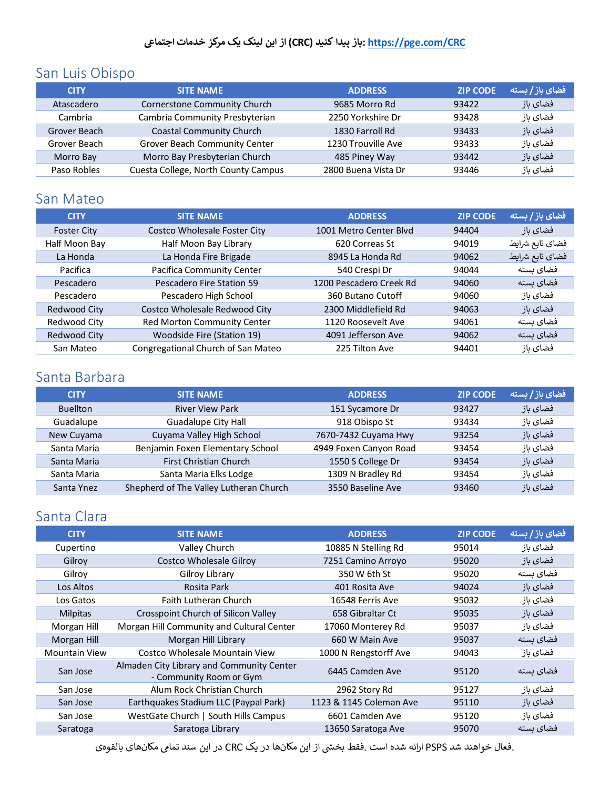### <span id="page-9-0"></span>San Luis Obispo

| <b>CITY</b>  | <b>SITE NAME</b>                    | <b>ADDRESS</b>      | <b>ZIP CODE</b> | فضای باز / بسته |
|--------------|-------------------------------------|---------------------|-----------------|-----------------|
| Atascadero   | Cornerstone Community Church        | 9685 Morro Rd       | 93422           | فضای باز        |
| Cambria      | Cambria Community Presbyterian      | 2250 Yorkshire Dr   | 93428           | فضاي باز        |
| Grover Beach | <b>Coastal Community Church</b>     | 1830 Farroll Rd     | 93433           | فضاي باز        |
| Grover Beach | Grover Beach Community Center       | 1230 Trouville Ave  | 93433           | فضاي باز        |
| Morro Bay    | Morro Bay Presbyterian Church       | 485 Piney Way       | 93442           | فضای باز        |
| Paso Robles  | Cuesta College, North County Campus | 2800 Buena Vista Dr | 93446           | فضاى باز        |

#### <span id="page-9-1"></span>San Mateo

| <b>CITY</b>        | <b>SITE NAME</b>                    | <b>ADDRESS</b>          | <b>ZIP CODE</b> | , فضای بآز / بسته ا |
|--------------------|-------------------------------------|-------------------------|-----------------|---------------------|
| <b>Foster City</b> | <b>Costco Wholesale Foster City</b> | 1001 Metro Center Blyd  | 94404           | فضاى باز            |
| Half Moon Bay      | Half Moon Bay Library               | 620 Correas St          | 94019           | فضاي تابع شرايط     |
| La Honda           | La Honda Fire Brigade               | 8945 La Honda Rd        | 94062           | فضاي تابع شرايط     |
| Pacifica           | Pacifica Community Center           | 540 Crespi Dr           | 94044           | فضای بسته           |
| Pescadero          | Pescadero Fire Station 59           | 1200 Pescadero Creek Rd | 94060           | فضای بسته           |
| Pescadero          | Pescadero High School               | 360 Butano Cutoff       | 94060           | فضاي باز            |
| Redwood City       | Costco Wholesale Redwood City       | 2300 Middlefield Rd     | 94063           | فضاي باز            |
| Redwood City       | Red Morton Community Center         | 1120 Roosevelt Ave      | 94061           | فضاى بسته           |
| Redwood City       | <b>Woodside Fire (Station 19)</b>   | 4091 Jefferson Ave      | 94062           | فضای بسته           |
| San Mateo          | Congregational Church of San Mateo  | 225 Tilton Ave          | 94401           | فضای باز            |

### <span id="page-9-2"></span>Santa Barbara

| <b>CITY</b>     | <b>SITE NAME</b>                       | <b>ADDRESS</b>         | <b>ZIP CODE</b> | فضای باز / بسته |
|-----------------|----------------------------------------|------------------------|-----------------|-----------------|
| <b>Buellton</b> | <b>River View Park</b>                 | 151 Sycamore Dr        | 93427           | فضای باز        |
| Guadalupe       | <b>Guadalupe City Hall</b>             | 918 Obispo St          | 93434           | فضاي باز        |
| New Cuyama      | Cuyama Valley High School              | 7670-7432 Cuyama Hwy   | 93254           | فضای باز        |
| Santa Maria     | Benjamin Foxen Elementary School       | 4949 Foxen Canyon Road | 93454           | فضاي باز        |
| Santa Maria     | First Christian Church                 | 1550 S College Dr      | 93454           | فضای باز        |
| Santa Maria     | Santa Maria Elks Lodge                 | 1309 N Bradley Rd      | 93454           | فضاي باز        |
| Santa Ynez      | Shepherd of The Valley Lutheran Church | 3550 Baseline Ave      | 93460           | فضای باز        |

### <span id="page-9-3"></span>Santa Clara

| <b>CITY</b>          | <b>SITE NAME</b>                                                     | <b>ADDRESS</b>          | <b>ZIP CODE</b> | فضای باز / بسته |
|----------------------|----------------------------------------------------------------------|-------------------------|-----------------|-----------------|
| Cupertino            | Valley Church                                                        | 10885 N Stelling Rd     | 95014           | فضاى باز        |
| Gilroy               | <b>Costco Wholesale Gilroy</b>                                       | 7251 Camino Arroyo      | 95020           | فضای باز        |
| Gilroy               | Gilroy Library                                                       | 350 W 6th St            | 95020           | فضاى بسته       |
| Los Altos            | Rosita Park                                                          | 401 Rosita Ave          | 94024           | فضای باز        |
| Los Gatos            | <b>Faith Lutheran Church</b>                                         | 16548 Ferris Ave        | 95032           | فضاى باز        |
| <b>Milpitas</b>      | Crosspoint Church of Silicon Valley                                  | 658 Gibraltar Ct        | 95035           | فضاى باز        |
| Morgan Hill          | Morgan Hill Community and Cultural Center                            | 17060 Monterey Rd       | 95037           | فضاي باز        |
| Morgan Hill          | Morgan Hill Library                                                  | 660 W Main Ave          | 95037           | فضای بسته       |
| <b>Mountain View</b> | Costco Wholesale Mountain View                                       | 1000 N Rengstorff Ave   | 94043           | فضاى باز        |
| San Jose             | Almaden City Library and Community Center<br>- Community Room or Gym | 6445 Camden Ave         | 95120           | فضای بسته       |
| San Jose             | Alum Rock Christian Church                                           | 2962 Story Rd           | 95127           | فضاى باز        |
| San Jose             | Earthquakes Stadium LLC (Paypal Park)                                | 1123 & 1145 Coleman Ave | 95110           | فضای باز        |
| San Jose             | WestGate Church   South Hills Campus                                 | 6601 Camden Ave         | 95120           | فضاي باز        |
| Saratoga             | Saratoga Library                                                     | 13650 Saratoga Ave      | 95070           | فضای بسته       |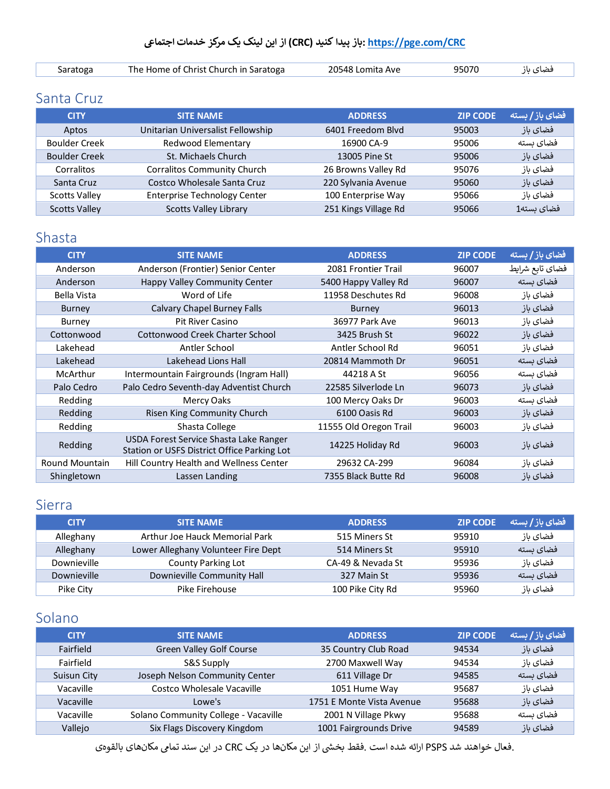| saratoga | The Home of Christ Church in Saratoga | 20548 Lomita Ave | 95070 | فضای بار |
|----------|---------------------------------------|------------------|-------|----------|

#### <span id="page-10-0"></span>Santa Cruz

| <b>CITY</b>          | <b>SITE NAME</b>                    | <b>ADDRESS</b>       | <b>ZIP CODE</b> | ر فضای باز <b>/</b> بسته ا |
|----------------------|-------------------------------------|----------------------|-----------------|----------------------------|
| Aptos                | Unitarian Universalist Fellowship   | 6401 Freedom Blvd    | 95003           | فضای باز                   |
| <b>Boulder Creek</b> | Redwood Elementary                  | 16900 CA-9           | 95006           | فضای ىستە                  |
| <b>Boulder Creek</b> | St. Michaels Church                 | 13005 Pine St        | 95006           | فضای باز                   |
| Corralitos           | <b>Corralitos Community Church</b>  | 26 Browns Valley Rd  | 95076           | فضاى باز                   |
| Santa Cruz           | Costco Wholesale Santa Cruz         | 220 Sylvania Avenue  | 95060           | فضای باز                   |
| <b>Scotts Valley</b> | <b>Enterprise Technology Center</b> | 100 Enterprise Way   | 95066           | فضاي باز                   |
| <b>Scotts Valley</b> | <b>Scotts Valley Library</b>        | 251 Kings Village Rd | 95066           | فضای بسته1                 |

#### <span id="page-10-1"></span>Shasta

| <b>CITY</b>           | <b>SITE NAME</b>                                                                      | <b>ADDRESS</b>         | <b>ZIP CODE</b> | فضای باز / بسته |
|-----------------------|---------------------------------------------------------------------------------------|------------------------|-----------------|-----------------|
| Anderson              | Anderson (Frontier) Senior Center                                                     | 2081 Frontier Trail    | 96007           | فضاي تابع شرايط |
| Anderson              | Happy Valley Community Center                                                         | 5400 Happy Valley Rd   | 96007           | فضای بسته       |
| Bella Vista           | Word of Life                                                                          | 11958 Deschutes Rd     | 96008           | فضاى باز        |
| <b>Burney</b>         | <b>Calvary Chapel Burney Falls</b>                                                    | Burney                 | 96013           | فضاى باز        |
| Burney                | <b>Pit River Casino</b>                                                               | 36977 Park Ave         | 96013           | فضاى باز        |
| Cottonwood            | Cottonwood Creek Charter School                                                       | 3425 Brush St          | 96022           | فضاى باز        |
| Lakehead              | Antler School                                                                         | Antler School Rd       | 96051           | فضاى باز        |
| Lakehead              | Lakehead Lions Hall                                                                   | 20814 Mammoth Dr       | 96051           | فضاى بسته       |
| McArthur              | Intermountain Fairgrounds (Ingram Hall)                                               | 44218 A St             | 96056           | فضاى بسته       |
| Palo Cedro            | Palo Cedro Seventh-day Adventist Church                                               | 22585 Silverlode Ln    | 96073           | فضاى باز        |
| Redding               | Mercy Oaks                                                                            | 100 Mercy Oaks Dr      | 96003           | فضاى بسته       |
| Redding               | Risen King Community Church                                                           | 6100 Oasis Rd          | 96003           | فضاى باز        |
| Redding               | Shasta College                                                                        | 11555 Old Oregon Trail | 96003           | فضاى باز        |
| Redding               | USDA Forest Service Shasta Lake Ranger<br>Station or USFS District Office Parking Lot | 14225 Holiday Rd       | 96003           | فضاى باز        |
| <b>Round Mountain</b> | Hill Country Health and Wellness Center                                               | 29632 CA-299           | 96084           | فضاى باز        |
| Shingletown           | Lassen Landing                                                                        | 7355 Black Butte Rd    | 96008           | فضاى باز        |

#### <span id="page-10-2"></span>Sierra

| <b>CITY</b> | <b>SITE NAME</b>                    | <b>ADDRESS</b>    | <b>ZIP CODE</b> | <b>رفضای باز/بسته</b> |
|-------------|-------------------------------------|-------------------|-----------------|-----------------------|
| Alleghany   | Arthur Joe Hauck Memorial Park      | 515 Miners St     | 95910           | فضای باز              |
| Alleghany   | Lower Alleghany Volunteer Fire Dept | 514 Miners St     | 95910           | فضای بسته             |
| Downieville | <b>County Parking Lot</b>           | CA-49 & Nevada St | 95936           | فضای باز              |
| Downieville | Downieville Community Hall          | 327 Main St       | 95936           | فضای بسته             |
| Pike City   | Pike Firehouse                      | 100 Pike City Rd  | 95960           | فضاي باز              |

# <span id="page-10-3"></span>Solano

| <b>CITY</b> | <b>SITE NAME</b>                     | <b>ADDRESS</b>            | <b>ZIP CODE</b> | فضای باز / بسته |
|-------------|--------------------------------------|---------------------------|-----------------|-----------------|
| Fairfield   | <b>Green Valley Golf Course</b>      | 35 Country Club Road      | 94534           | فضاي باز        |
| Fairfield   | S&S Supply                           | 2700 Maxwell Way          | 94534           | فضاي باز        |
| Suisun City | Joseph Nelson Community Center       | 611 Village Dr            | 94585           | فضای بسته       |
| Vacaville   | Costco Wholesale Vacaville           | 1051 Hume Way             | 95687           | فضای باز        |
| Vacaville   | Lowe's                               | 1751 E Monte Vista Avenue | 95688           | فضاي باز        |
| Vacaville   | Solano Community College - Vacaville | 2001 N Village Pkwy       | 95688           | فضای بسته       |
| Vallejo     | Six Flags Discovery Kingdom          | 1001 Fairgrounds Drive    | 94589           | فضاي باز        |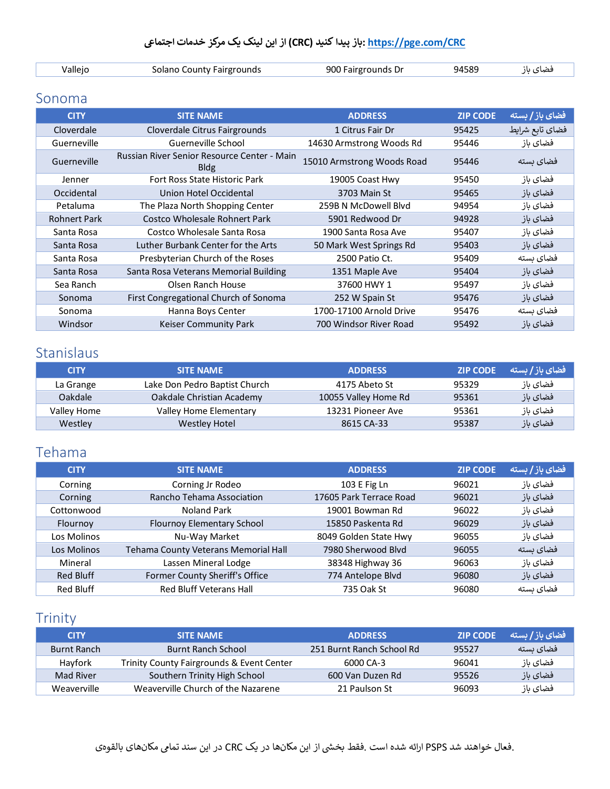| /alleic | Solano County Fairgrounds<br>------- -- <i>-</i> ----<br>.<br>້ | 900 Fairgrounds Dr<br>------ | 94589 | $\sim$ 1<br>"ص د . |
|---------|-----------------------------------------------------------------|------------------------------|-------|--------------------|

#### <span id="page-11-0"></span>Sonoma

| <b>CITY</b>         | <b>SITE NAME</b>                                           | <b>ADDRESS</b>             | <b>ZIP CODE</b> | فضای باز <b>/</b> بسته |
|---------------------|------------------------------------------------------------|----------------------------|-----------------|------------------------|
| Cloverdale          | Cloverdale Citrus Fairgrounds                              | 1 Citrus Fair Dr           | 95425           | فضاي تابع شرايط        |
| Guerneville         | Guerneville School                                         | 14630 Armstrong Woods Rd   | 95446           | فضاى باز               |
| Guerneville         | Russian River Senior Resource Center - Main<br><b>Bldg</b> | 15010 Armstrong Woods Road | 95446           | فضای بسته              |
| Jenner              | Fort Ross State Historic Park                              | 19005 Coast Hwy            | 95450           | فضاى باز               |
| Occidental          | Union Hotel Occidental                                     | 3703 Main St               | 95465           | فضاى باز               |
| Petaluma            | The Plaza North Shopping Center                            | 259B N McDowell Blyd       | 94954           | فضاى باز               |
| <b>Rohnert Park</b> | Costco Wholesale Rohnert Park                              | 5901 Redwood Dr            | 94928           | فضاى باز               |
| Santa Rosa          | Costco Wholesale Santa Rosa                                | 1900 Santa Rosa Ave        | 95407           | فضاى باز               |
| Santa Rosa          | Luther Burbank Center for the Arts                         | 50 Mark West Springs Rd    | 95403           | فضاى باز               |
| Santa Rosa          | Presbyterian Church of the Roses                           | 2500 Patio Ct.             | 95409           | فضاى بسته              |
| Santa Rosa          | Santa Rosa Veterans Memorial Building                      | 1351 Maple Ave             | 95404           | فضاى باز               |
| Sea Ranch           | Olsen Ranch House                                          | 37600 HWY 1                | 95497           | فضاى باز               |
| Sonoma              | First Congregational Church of Sonoma                      | 252 W Spain St             | 95476           | فضاى باز               |
| Sonoma              | Hanna Boys Center                                          | 1700-17100 Arnold Drive    | 95476           | فضاى بسته              |
| Windsor             | Keiser Community Park                                      | 700 Windsor River Road     | 95492           | فضاى باز               |

### <span id="page-11-1"></span>Stanislaus

| <b>CITY</b> | <b>SITE NAME</b>              | <b>ADDRESS</b>       | <b>ZIP CODE</b> | _فضای باز / بسته |
|-------------|-------------------------------|----------------------|-----------------|------------------|
| La Grange   | Lake Don Pedro Baptist Church | 4175 Abeto St        | 95329           | فضای باز         |
| Oakdale     | Oakdale Christian Academy     | 10055 Valley Home Rd | 95361           | فضای باز         |
| Valley Home | Valley Home Elementary        | 13231 Pioneer Ave    | 95361           | فضاي باز         |
| Westley     | <b>Westley Hotel</b>          | 8615 CA-33           | 95387           | فضای باز         |

### <span id="page-11-2"></span>Tehama

| <b>CITY</b>      | <b>SITE NAME</b>                     | <b>ADDRESS</b>          | <b>ZIP CODE</b> | فضای باز / بسته |
|------------------|--------------------------------------|-------------------------|-----------------|-----------------|
| Corning          | Corning Jr Rodeo                     | 103 E Fig Ln            | 96021           | فضاى باز        |
| Corning          | Rancho Tehama Association            | 17605 Park Terrace Road | 96021           | فضای باز        |
| Cottonwood       | Noland Park                          | 19001 Bowman Rd         | 96022           | فضاي باز        |
| Flournov         | Flournoy Elementary School           | 15850 Paskenta Rd       | 96029           | فضای باز        |
| Los Molinos      | Nu-Way Market                        | 8049 Golden State Hwy   | 96055           | فضاى باز        |
| Los Molinos      | Tehama County Veterans Memorial Hall | 7980 Sherwood Blyd      | 96055           | فضای بسته       |
| Mineral          | Lassen Mineral Lodge                 | 38348 Highway 36        | 96063           | فضاى باز        |
| Red Bluff        | Former County Sheriff's Office       | 774 Antelope Blvd       | 96080           | فضای باز        |
| <b>Red Bluff</b> | <b>Red Bluff Veterans Hall</b>       | 735 Oak St              | 96080           | فضای ىستە       |

# <span id="page-11-3"></span>Trinity

| <b>CITY</b> | <b>SITE NAME</b>                          | <b>ADDRESS</b>            | <b>ZIP CODE</b> | _ فضای باز / بسته |
|-------------|-------------------------------------------|---------------------------|-----------------|-------------------|
| Burnt Ranch | <b>Burnt Ranch School</b>                 | 251 Burnt Ranch School Rd | 95527           | فضای بسته         |
| Havfork     | Trinity County Fairgrounds & Event Center | 6000 CA-3                 | 96041           | فضاي باز          |
| Mad River   | Southern Trinity High School              | 600 Van Duzen Rd          | 95526           | فضای باز          |
| Weaverville | Weaverville Church of the Nazarene        | 21 Paulson St             | 96093           | فضای باز          |